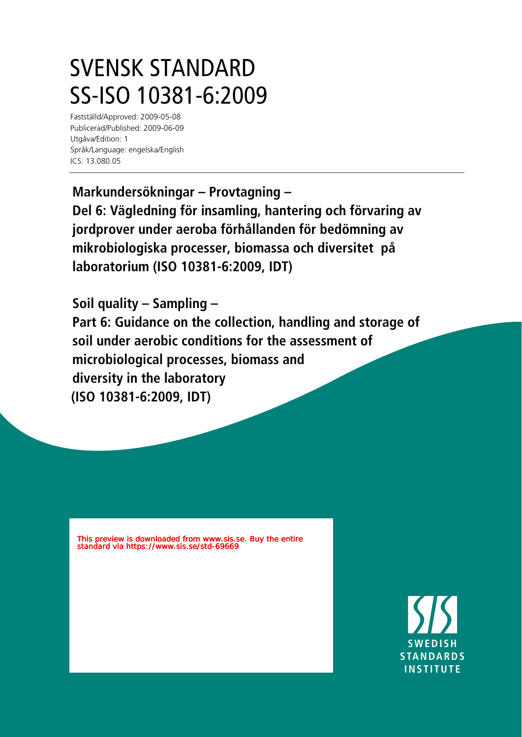## SVENSK STANDARD SS-ISO 10381-6:2009

Fastställd/Approved: 2009-05-08 Publicerad/Published: 2009-06-09 Utgåva/Edition: 1 Språk/Language: engelska/English ICS: 13.080.05

**Markundersökningar – Provtagning – Del 6: Vägledning för insamling, hantering och förvaring av jordprover under aeroba förhållanden för bedömning av mikrobiologiska processer, biomassa och diversitet på laboratorium (ISO 10381-6:2009, IDT)**

**Soil quality – Sampling –**

**Part 6: Guidance on the collection, handling and storage of soil under aerobic conditions for the assessment of microbiological processes, biomass and diversity in the laboratory (ISO 10381-6:2009, IDT)**

This preview is downloaded from www.sis.se. Buy the entire standard via https://www.sis.se/std-69669

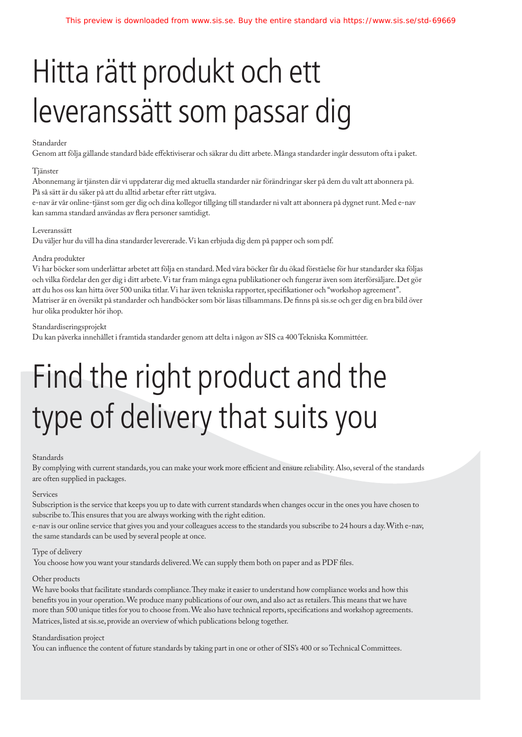## Hitta rätt produkt och ett leveranssätt som passar dig

## Standarder

Genom att följa gällande standard både effektiviserar och säkrar du ditt arbete. Många standarder ingår dessutom ofta i paket.

### Tjänster

Abonnemang är tjänsten där vi uppdaterar dig med aktuella standarder när förändringar sker på dem du valt att abonnera på. På så sätt är du säker på att du alltid arbetar efter rätt utgåva.

e-nav är vår online-tjänst som ger dig och dina kollegor tillgång till standarder ni valt att abonnera på dygnet runt. Med e-nav kan samma standard användas av flera personer samtidigt.

#### Leveranssätt

Du väljer hur du vill ha dina standarder levererade. Vi kan erbjuda dig dem på papper och som pdf.

#### Andra produkter

Vi har böcker som underlättar arbetet att följa en standard. Med våra böcker får du ökad förståelse för hur standarder ska följas och vilka fördelar den ger dig i ditt arbete. Vi tar fram många egna publikationer och fungerar även som återförsäljare. Det gör att du hos oss kan hitta över 500 unika titlar. Vi har även tekniska rapporter, specikationer och "workshop agreement". Matriser är en översikt på standarder och handböcker som bör läsas tillsammans. De finns på sis.se och ger dig en bra bild över hur olika produkter hör ihop.

#### Standardiseringsprojekt

Du kan påverka innehållet i framtida standarder genom att delta i någon av SIS ca 400 Tekniska Kommittéer.

# Find the right product and the type of delivery that suits you

#### Standards

By complying with current standards, you can make your work more efficient and ensure reliability. Also, several of the standards are often supplied in packages.

#### Services

Subscription is the service that keeps you up to date with current standards when changes occur in the ones you have chosen to subscribe to. This ensures that you are always working with the right edition.

e-nav is our online service that gives you and your colleagues access to the standards you subscribe to 24 hours a day. With e-nav, the same standards can be used by several people at once.

#### Type of delivery

You choose how you want your standards delivered. We can supply them both on paper and as PDF files.

### Other products

We have books that facilitate standards compliance. They make it easier to understand how compliance works and how this benefits you in your operation. We produce many publications of our own, and also act as retailers. This means that we have more than 500 unique titles for you to choose from. We also have technical reports, specifications and workshop agreements. Matrices, listed at sis.se, provide an overview of which publications belong together.

#### Standardisation project

You can influence the content of future standards by taking part in one or other of SIS's 400 or so Technical Committees.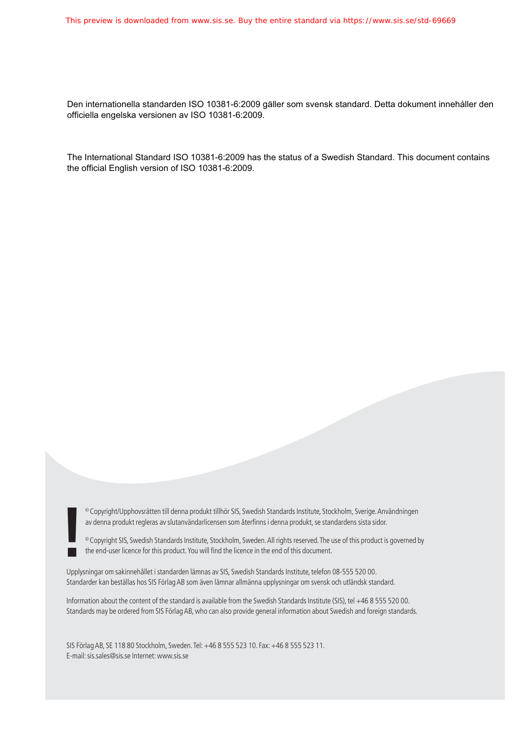Den internationella standarden ISO 10381-6:2009 gäller som svensk standard. Detta dokument innehåller den officiella engelska versionen av ISO 10381-6:2009.

The International Standard ISO 10381-6:2009 has the status of a Swedish Standard. This document contains the official English version of ISO 10381-6:2009.

© Copyright/Upphovsrätten till denna produkt tillhör SIS, Swedish Standards Institute, Stockholm, Sverige. Användningen av denna produkt regleras av slutanvändarlicensen som återfinns i denna produkt, se standardens sista sidor.

© Copyright/Upphovsrätten till denna produkt tillhör SIS, Swedish Standards Institute, Stockholm, Sverige. Användningen<br>av denna produkt regleras av slutanvändarlicensen som återfinns i denna produkt, se standardens sista

Upplysningar om sakinnehållet i standarden lämnas av SIS, Swedish Standards Institute, telefon 08-555 520 00. Standarder kan beställas hos SIS Förlag AB som även lämnar allmänna upplysningar om svensk och utländsk standard.

Information about the content of the standard is available from the Swedish Standards Institute (SIS), tel +46 8 555 520 00. Standards may be ordered from SIS Förlag AB, who can also provide general information about Swedish and foreign standards.

SIS Förlag AB, SE 118 80 Stockholm, Sweden. Tel: +46 8 555 523 10. Fax: +46 8 555 523 11. E-mail: sis.sales@sis.se Internet: www.sis.se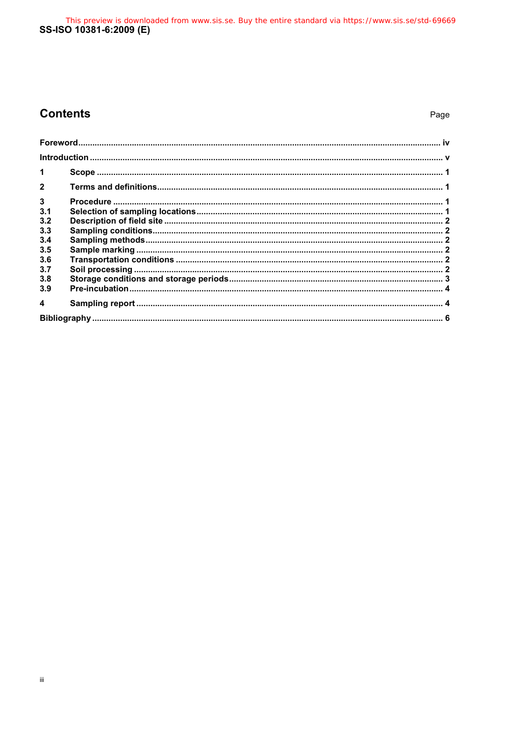This preview is downloaded from www.sis.se. Buy the entire standard via https://www.sis.se/std-69669<br>SS-ISO 10381-6:2009 (E)

## **Contents**

## Page

| $\blacktriangleleft$ |  |  |
|----------------------|--|--|
| $\overline{2}$       |  |  |
| $\mathbf{3}$         |  |  |
| 3.1                  |  |  |
| 3.2                  |  |  |
| 3.3                  |  |  |
| 3.4                  |  |  |
| 3.5                  |  |  |
| 3.6                  |  |  |
| 3.7                  |  |  |
| 3.8                  |  |  |
| 3.9                  |  |  |
| $\boldsymbol{4}$     |  |  |
|                      |  |  |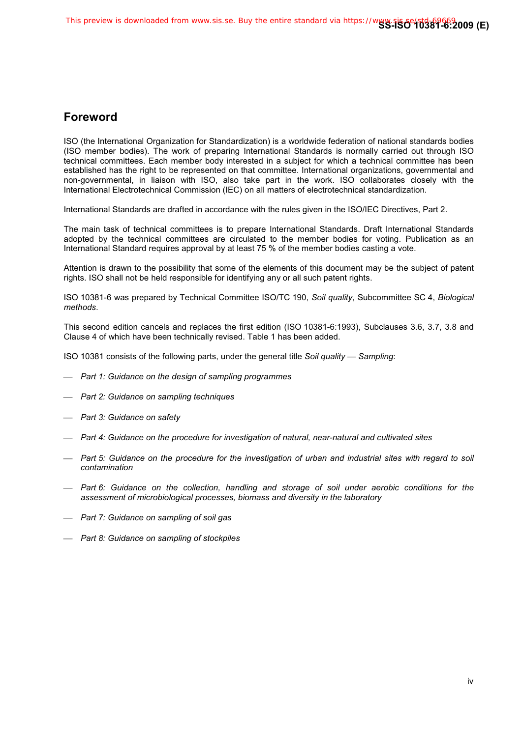## **Foreword**

ISO (the International Organization for Standardization) is a worldwide federation of national standards bodies (ISO member bodies). The work of preparing International Standards is normally carried out through ISO technical committees. Each member body interested in a subject for which a technical committee has been established has the right to be represented on that committee. International organizations, governmental and non-governmental, in liaison with ISO, also take part in the work. ISO collaborates closely with the International Electrotechnical Commission (IEC) on all matters of electrotechnical standardization.

International Standards are drafted in accordance with the rules given in the ISO/IEC Directives, Part 2.

The main task of technical committees is to prepare International Standards. Draft International Standards adopted by the technical committees are circulated to the member bodies for voting. Publication as an International Standard requires approval by at least 75 % of the member bodies casting a vote.

Attention is drawn to the possibility that some of the elements of this document may be the subject of patent rights. ISO shall not be held responsible for identifying any or all such patent rights.

ISO 10381-6 was prepared by Technical Committee ISO/TC 190, *Soil quality*, Subcommittee SC 4, *Biological methods*.

This second edition cancels and replaces the first edition (ISO 10381-6:1993), Subclauses 3.6, 3.7, 3.8 and Clause 4 of which have been technically revised. Table 1 has been added.

ISO 10381 consists of the following parts, under the general title *Soil quality — Sampling*:

- *Part 1: Guidance on the design of sampling programmes*
- *Part 2: Guidance on sampling techniques*
- *Part 3: Guidance on safety*
- *Part 4: Guidance on the procedure for investigation of natural, near-natural and cultivated sites*
- *Part 5: Guidance on the procedure for the investigation of urban and industrial sites with regard to soil contamination*
- *Part 6: Guidance on the collection, handling and storage of soil under aerobic conditions for the assessment of microbiological processes, biomass and diversity in the laboratory*
- *Part 7: Guidance on sampling of soil gas*
- *Part 8: Guidance on sampling of stockpiles*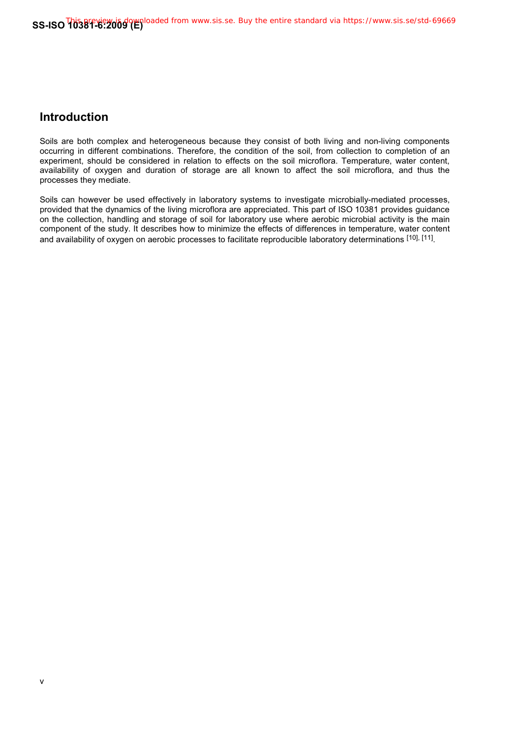## **Introduction**

Soils are both complex and heterogeneous because they consist of both living and non-living components occurring in different combinations. Therefore, the condition of the soil, from collection to completion of an experiment, should be considered in relation to effects on the soil microflora. Temperature, water content, availability of oxygen and duration of storage are all known to affect the soil microflora, and thus the processes they mediate.

Soils can however be used effectively in laboratory systems to investigate microbially-mediated processes, provided that the dynamics of the living microflora are appreciated. This part of ISO 10381 provides guidance on the collection, handling and storage of soil for laboratory use where aerobic microbial activity is the main component of the study. It describes how to minimize the effects of differences in temperature, water content and availability of oxygen on aerobic processes to facilitate reproducible laboratory determinations [10], [11].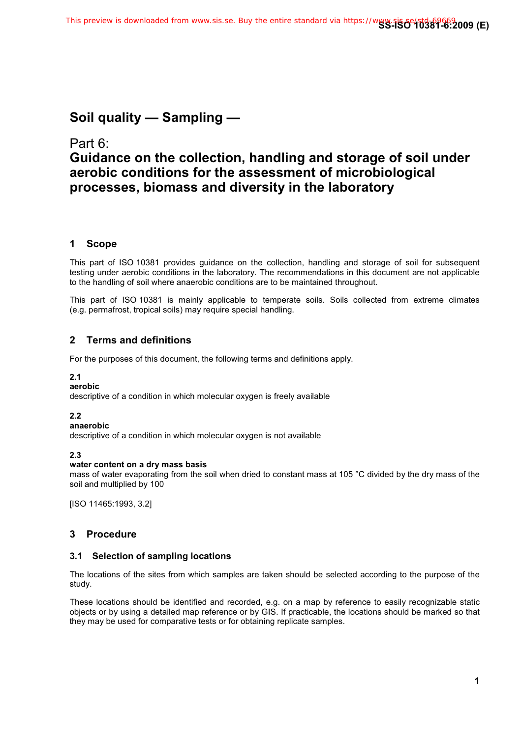## **Soil quality — Sampling —**

## Part 6: **Guidance on the collection, handling and storage of soil under aerobic conditions for the assessment of microbiological processes, biomass and diversity in the laboratory**

## **1 Scope**

This part of ISO 10381 provides guidance on the collection, handling and storage of soil for subsequent testing under aerobic conditions in the laboratory. The recommendations in this document are not applicable to the handling of soil where anaerobic conditions are to be maintained throughout.

This part of ISO 10381 is mainly applicable to temperate soils. Soils collected from extreme climates (e.g. permafrost, tropical soils) may require special handling.

## **2 Terms and definitions**

For the purposes of this document, the following terms and definitions apply.

## **2.1**

**aerobic**  descriptive of a condition in which molecular oxygen is freely available

## **2.2**

**anaerobic** 

descriptive of a condition in which molecular oxygen is not available

## **2.3**

## **water content on a dry mass basis**

mass of water evaporating from the soil when dried to constant mass at 105 °C divided by the dry mass of the soil and multiplied by 100

[ISO 11465:1993, 3.2]

## **3 Procedure**

## **3.1 Selection of sampling locations**

The locations of the sites from which samples are taken should be selected according to the purpose of the study.

These locations should be identified and recorded, e.g. on a map by reference to easily recognizable static objects or by using a detailed map reference or by GIS. If practicable, the locations should be marked so that they may be used for comparative tests or for obtaining replicate samples.